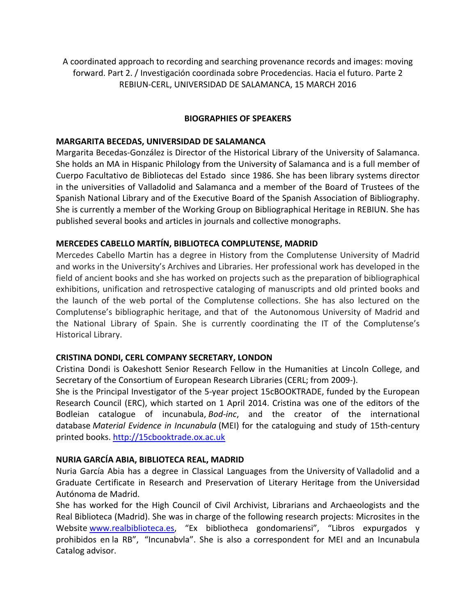A coordinated approach to recording and searching provenance records and images: moving forward. Part 2. / Investigación coordinada sobre Procedencias. Hacia el futuro. Parte 2 REBIUN‐CERL, UNIVERSIDAD DE SALAMANCA, 15 MARCH 2016

#### **BIOGRAPHIES OF SPEAKERS**

#### **MARGARITA BECEDAS, UNIVERSIDAD DE SALAMANCA**

Margarita Becedas‐González is Director of the Historical Library of the University of Salamanca. She holds an MA in Hispanic Philology from the University of Salamanca and is a full member of Cuerpo Facultativo de Bibliotecas del Estado since 1986. She has been library systems director in the universities of Valladolid and Salamanca and a member of the Board of Trustees of the Spanish National Library and of the Executive Board of the Spanish Association of Bibliography. She is currently a member of the Working Group on Bibliographical Heritage in REBIUN. She has published several books and articles in journals and collective monographs.

### **MERCEDES CABELLO MARTÍN, BIBLIOTECA COMPLUTENSE, MADRID**

Mercedes Cabello Martin has a degree in History from the Complutense University of Madrid and works in the University's Archives and Libraries. Her professional work has developed in the field of ancient books and she has worked on projects such as the preparation of bibliographical exhibitions, unification and retrospective cataloging of manuscripts and old printed books and the launch of the web portal of the Complutense collections. She has also lectured on the Complutense's bibliographic heritage, and that of the Autonomous University of Madrid and the National Library of Spain. She is currently coordinating the IT of the Complutense's Historical Library.

### **CRISTINA DONDI, CERL COMPANY SECRETARY, LONDON**

Cristina Dondi is Oakeshott Senior Research Fellow in the Humanities at Lincoln College, and Secretary of the Consortium of European Research Libraries (CERL; from 2009‐).

She is the Principal Investigator of the 5-year project 15cBOOKTRADE, funded by the European Research Council (ERC), which started on 1 April 2014. Cristina was one of the editors of the Bodleian catalogue of incunabula, *Bod‐inc*, and the creator of the international database *Material Evidence in Incunabula* (MEI) for the cataloguing and study of 15th‐century printed books. http://15cbooktrade.ox.ac.uk

#### **NURIA GARCÍA ABIA, BIBLIOTECA REAL, MADRID**

Nuria García Abia has a degree in Classical Languages from the University of Valladolid and a Graduate Certificate in Research and Preservation of Literary Heritage from the Universidad Autónoma de Madrid.

She has worked for the High Council of Civil Archivist, Librarians and Archaeologists and the Real Biblioteca (Madrid). She was in charge of the following research projects: Microsites in the Website www.realbiblioteca.es, "Ex bibliotheca gondomariensi", "Libros expurgados y prohibidos en la RB", "Incunabvla". She is also a correspondent for MEI and an Incunabula Catalog advisor.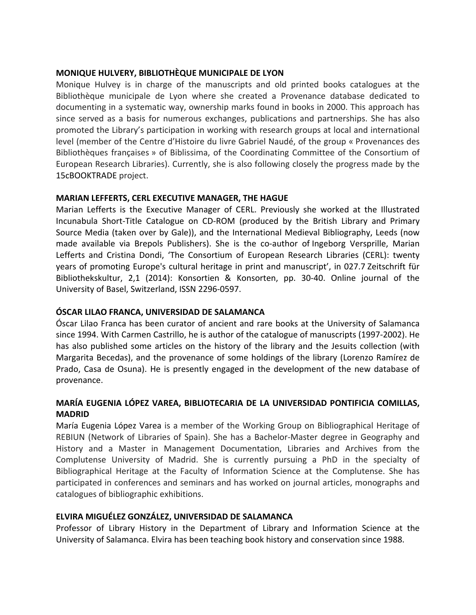## **MONIQUE HULVERY, BIBLIOTHÈQUE MUNICIPALE DE LYON**

Monique Hulvey is in charge of the manuscripts and old printed books catalogues at the Bibliothèque municipale de Lyon where she created a Provenance database dedicated to documenting in a systematic way, ownership marks found in books in 2000. This approach has since served as a basis for numerous exchanges, publications and partnerships. She has also promoted the Library's participation in working with research groups at local and international level (member of the Centre d'Histoire du livre Gabriel Naudé, of the group « Provenances des Bibliothèques françaises » of Biblissima, of the Coordinating Committee of the Consortium of European Research Libraries). Currently, she is also following closely the progress made by the 15cBOOKTRADE project.

# **MARIAN LEFFERTS, CERL EXECUTIVE MANAGER, THE HAGUE**

Marian Lefferts is the Executive Manager of CERL. Previously she worked at the Illustrated Incunabula Short‐Title Catalogue on CD‐ROM (produced by the British Library and Primary Source Media (taken over by Gale)), and the International Medieval Bibliography, Leeds (now made available via Brepols Publishers). She is the co-author of Ingeborg Versprille, Marian Lefferts and Cristina Dondi, 'The Consortium of European Research Libraries (CERL): twenty years of promoting Europe's cultural heritage in print and manuscript', in 027.7 Zeitschrift für Bibliothekskultur, 2,1 (2014): Konsortien & Konsorten, pp. 30‐40. Online journal of the University of Basel, Switzerland, ISSN 2296‐0597.

## **ÓSCAR LILAO FRANCA, UNIVERSIDAD DE SALAMANCA**

Óscar Lilao Franca has been curator of ancient and rare books at the University of Salamanca since 1994. With Carmen Castrillo, he is author of the catalogue of manuscripts (1997‐2002). He has also published some articles on the history of the library and the Jesuits collection (with Margarita Becedas), and the provenance of some holdings of the library (Lorenzo Ramírez de Prado, Casa de Osuna). He is presently engaged in the development of the new database of provenance.

# **MARÍA EUGENIA LÓPEZ VAREA, BIBLIOTECARIA DE LA UNIVERSIDAD PONTIFICIA COMILLAS, MADRID**

María Eugenia López Varea is a member of the Working Group on Bibliographical Heritage of REBIUN (Network of Libraries of Spain). She has a Bachelor‐Master degree in Geography and History and a Master in Management Documentation, Libraries and Archives from the Complutense University of Madrid. She is currently pursuing a PhD in the specialty of Bibliographical Heritage at the Faculty of Information Science at the Complutense. She has participated in conferences and seminars and has worked on journal articles, monographs and catalogues of bibliographic exhibitions.

# **ELVIRA MIGUÉLEZ GONZÁLEZ, UNIVERSIDAD DE SALAMANCA**

Professor of Library History in the Department of Library and Information Science at the University of Salamanca. Elvira has been teaching book history and conservation since 1988.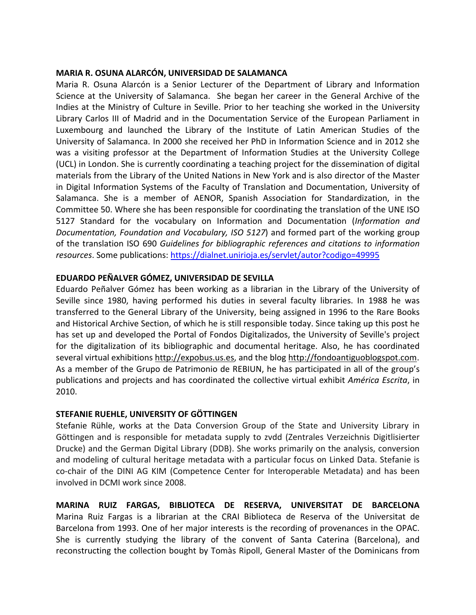#### **MARIA R. OSUNA ALARCÓN, UNIVERSIDAD DE SALAMANCA**

Maria R. Osuna Alarcón is a Senior Lecturer of the Department of Library and Information Science at the University of Salamanca. She began her career in the General Archive of the Indies at the Ministry of Culture in Seville. Prior to her teaching she worked in the University Library Carlos III of Madrid and in the Documentation Service of the European Parliament in Luxembourg and launched the Library of the Institute of Latin American Studies of the University of Salamanca. In 2000 she received her PhD in Information Science and in 2012 she was a visiting professor at the Department of Information Studies at the University College (UCL) in London. She is currently coordinating a teaching project for the dissemination of digital materials from the Library of the United Nations in New York and is also director of the Master in Digital Information Systems of the Faculty of Translation and Documentation, University of Salamanca. She is a member of AENOR, Spanish Association for Standardization, in the Committee 50. Where she has been responsible for coordinating the translation of the UNE ISO 5127 Standard for the vocabulary on Information and Documentation (*Information and Documentation, Foundation and Vocabulary, ISO 5127*) and formed part of the working group of the translation ISO 690 *Guidelines for bibliographic references and citations to information resources*. Some publications: https://dialnet.unirioja.es/servlet/autor?codigo=49995

## **EDUARDO PEÑALVER GÓMEZ, UNIVERSIDAD DE SEVILLA**

Eduardo Peñalver Gómez has been working as a librarian in the Library of the University of Seville since 1980, having performed his duties in several faculty libraries. In 1988 he was transferred to the General Library of the University, being assigned in 1996 to the Rare Books and Historical Archive Section, of which he is still responsible today. Since taking up this post he has set up and developed the Portal of Fondos Digitalizados, the University of Seville's project for the digitalization of its bibliographic and documental heritage. Also, he has coordinated several virtual exhibitions http://expobus.us.es, and the blog http://fondoantiguoblogspot.com. As a member of the Grupo de Patrimonio de REBIUN, he has participated in all of the group's publications and projects and has coordinated the collective virtual exhibit *América Escrita*, in 2010.

### **STEFANIE RUEHLE, UNIVERSITY OF GÖTTINGEN**

Stefanie Rühle, works at the Data Conversion Group of the State and University Library in Göttingen and is responsible for metadata supply to zvdd (Zentrales Verzeichnis Digitlisierter Drucke) and the German Digital Library (DDB). She works primarily on the analysis, conversion and modeling of cultural heritage metadata with a particular focus on Linked Data. Stefanie is co-chair of the DINI AG KIM (Competence Center for Interoperable Metadata) and has been involved in DCMI work since 2008.

**MARINA RUIZ FARGAS, BIBLIOTECA DE RESERVA, UNIVERSITAT DE BARCELONA** Marina Ruiz Fargas is a librarian at the CRAI Biblioteca de Reserva of the Universitat de Barcelona from 1993. One of her major interests is the recording of provenances in the OPAC. She is currently studying the library of the convent of Santa Caterina (Barcelona), and reconstructing the collection bought by Tomàs Ripoll, General Master of the Dominicans from